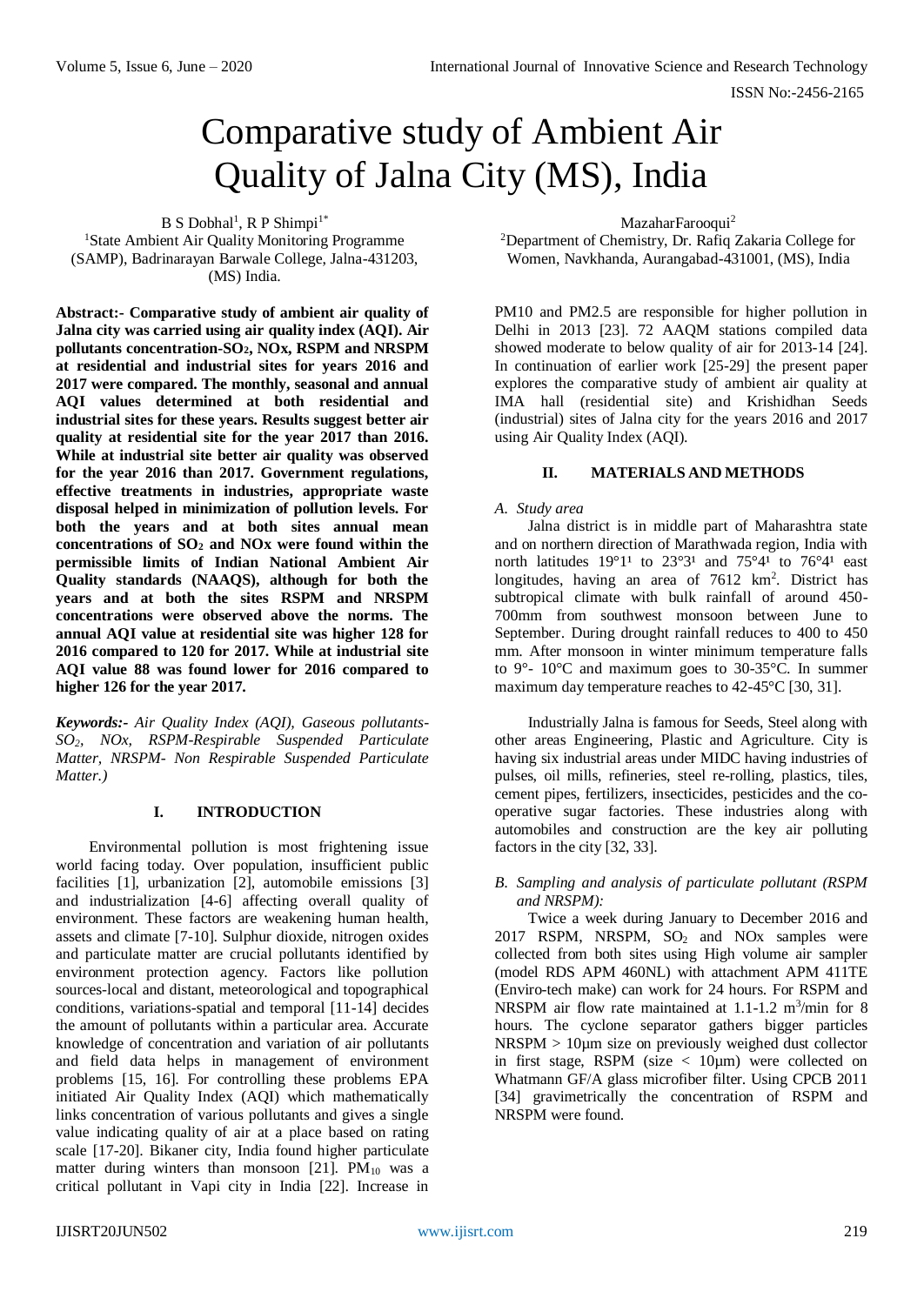# Comparative study of Ambient Air Quality of Jalna City (MS), India

 $B S$  Dobhal<sup>1</sup>, R P Shimpi<sup>1\*</sup> <sup>1</sup>State Ambient Air Quality Monitoring Programme (SAMP), Badrinarayan Barwale College, Jalna-431203, (MS) India.

**Abstract:- Comparative study of ambient air quality of Jalna city was carried using air quality index (AQI). Air pollutants concentration-SO2, NOx, RSPM and NRSPM at residential and industrial sites for years 2016 and 2017 were compared. The monthly, seasonal and annual AQI values determined at both residential and industrial sites for these years. Results suggest better air quality at residential site for the year 2017 than 2016. While at industrial site better air quality was observed for the year 2016 than 2017. Government regulations, effective treatments in industries, appropriate waste disposal helped in minimization of pollution levels. For both the years and at both sites annual mean concentrations of SO<sup>2</sup> and NOx were found within the permissible limits of Indian National Ambient Air Quality standards (NAAQS), although for both the years and at both the sites RSPM and NRSPM concentrations were observed above the norms. The annual AQI value at residential site was higher 128 for 2016 compared to 120 for 2017. While at industrial site AQI value 88 was found lower for 2016 compared to higher 126 for the year 2017.**

*Keywords:- Air Quality Index (AQI), Gaseous pollutants-SO2, NOx, RSPM-Respirable Suspended Particulate Matter, NRSPM- Non Respirable Suspended Particulate Matter.)*

# **I. INTRODUCTION**

Environmental pollution is most frightening issue world facing today. Over population, insufficient public facilities [1], urbanization [2], automobile emissions [3] and industrialization [4-6] affecting overall quality of environment. These factors are weakening human health, assets and climate [7-10]. Sulphur dioxide, nitrogen oxides and particulate matter are crucial pollutants identified by environment protection agency. Factors like pollution sources-local and distant, meteorological and topographical conditions, variations-spatial and temporal [11-14] decides the amount of pollutants within a particular area. Accurate knowledge of concentration and variation of air pollutants and field data helps in management of environment problems [15, 16]. For controlling these problems EPA initiated Air Quality Index (AQI) which mathematically links concentration of various pollutants and gives a single value indicating quality of air at a place based on rating scale [17-20]. Bikaner city, India found higher particulate matter during winters than monsoon [21].  $PM_{10}$  was a critical pollutant in Vapi city in India [22]. Increase in MazaharFarooqui<sup>2</sup>

<sup>2</sup>Department of Chemistry, Dr. Rafiq Zakaria College for Women, Navkhanda, Aurangabad-431001, (MS), India

PM10 and PM2.5 are responsible for higher pollution in Delhi in 2013 [23]. 72 AAQM stations compiled data showed moderate to below quality of air for 2013-14 [24]. In continuation of earlier work [25-29] the present paper explores the comparative study of ambient air quality at IMA hall (residential site) and Krishidhan Seeds (industrial) sites of Jalna city for the years 2016 and 2017 using Air Quality Index (AQI).

# **II. MATERIALS AND METHODS**

## *A. Study area*

Jalna district is in middle part of Maharashtra state and on northern direction of Marathwada region, India with north latitudes  $19^{\circ}1^{1}$  to  $23^{\circ}3^{1}$  and  $75^{\circ}4^{1}$  to  $76^{\circ}4^{1}$  east longitudes, having an area of  $7612 \text{ km}^2$ . District has subtropical climate with bulk rainfall of around 450- 700mm from southwest monsoon between June to September. During drought rainfall reduces to 400 to 450 mm. After monsoon in winter minimum temperature falls to 9°- 10°C and maximum goes to 30-35°C. In summer maximum day temperature reaches to 42-45°C [30, 31].

Industrially Jalna is famous for Seeds, Steel along with other areas Engineering, Plastic and Agriculture. City is having six industrial areas under MIDC having industries of pulses, oil mills, refineries, steel re-rolling, plastics, tiles, cement pipes, fertilizers, insecticides, pesticides and the cooperative sugar factories. These industries along with automobiles and construction are the key air polluting factors in the city [32, 33].

## *B. Sampling and analysis of particulate pollutant (RSPM and NRSPM):*

Twice a week during January to December 2016 and  $2017$  RSPM, NRSPM,  $SO<sub>2</sub>$  and NO<sub>x</sub> samples were collected from both sites using High volume air sampler (model RDS APM 460NL) with attachment APM 411TE (Enviro-tech make) can work for 24 hours. For RSPM and NRSPM air flow rate maintained at 1.1-1.2 m<sup>3</sup>/min for 8 hours. The cyclone separator gathers bigger particles NRSPM > 10µm size on previously weighed dust collector in first stage, RSPM (size  $\lt$  10um) were collected on Whatmann GF/A glass microfiber filter. Using CPCB 2011 [34] gravimetrically the concentration of RSPM and NRSPM were found.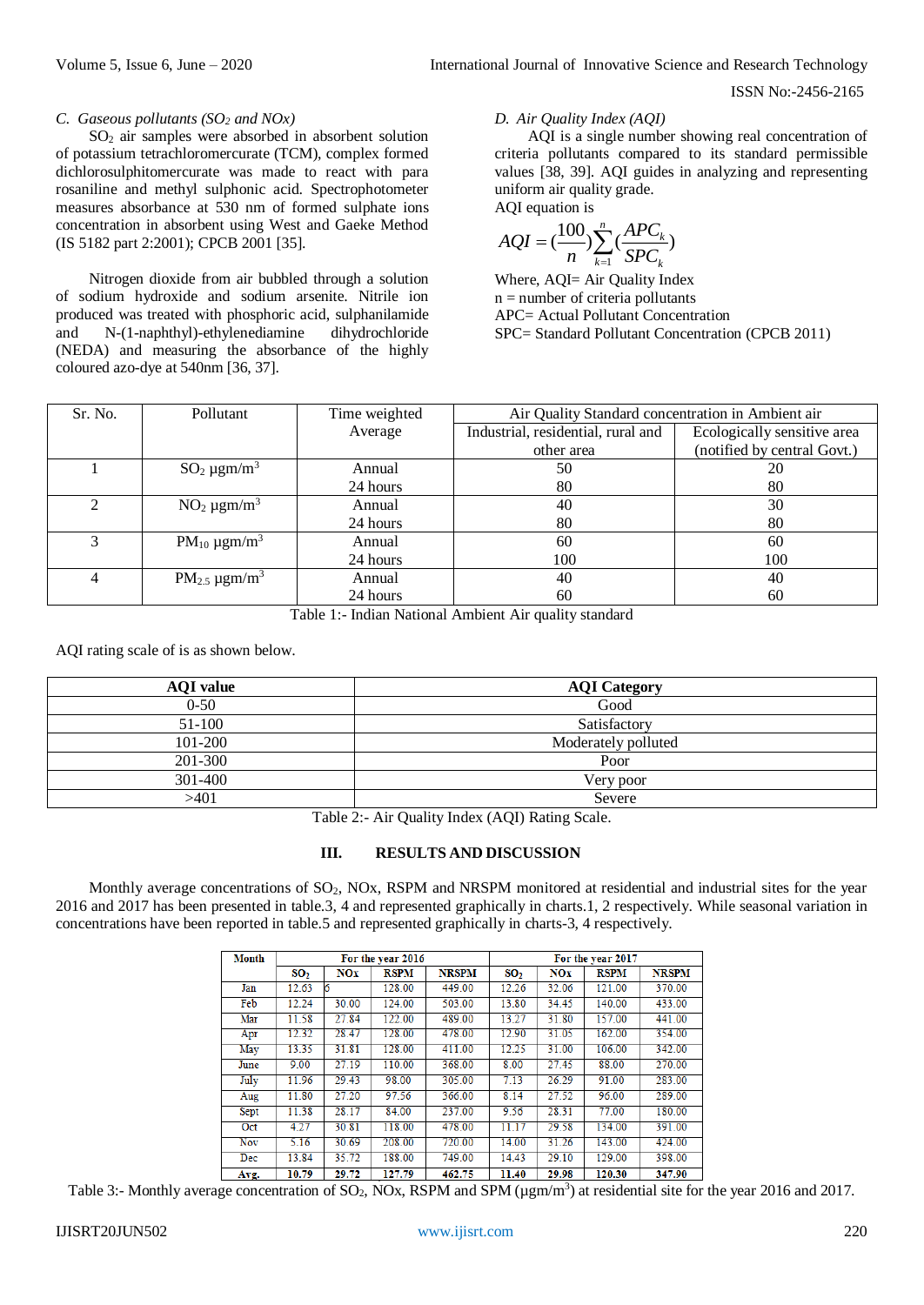#### *C. Gaseous pollutants (SO<sup>2</sup> and NOx)*

SO<sup>2</sup> air samples were absorbed in absorbent solution of potassium tetrachloromercurate (TCM), complex formed dichlorosulphitomercurate was made to react with para rosaniline and methyl sulphonic acid. Spectrophotometer measures absorbance at 530 nm of formed sulphate ions concentration in absorbent using West and Gaeke Method (IS 5182 part 2:2001); CPCB 2001 [35].

Nitrogen dioxide from air bubbled through a solution of sodium hydroxide and sodium arsenite. Nitrile ion produced was treated with phosphoric acid, sulphanilamide and N-(1-naphthyl)-ethylenediamine dihydrochloride (NEDA) and measuring the absorbance of the highly coloured azo-dye at 540nm [36, 37].

# *D. Air Quality Index (AQI)*

AQI is a single number showing real concentration of criteria pollutants compared to its standard permissible values [38, 39]. AQI guides in analyzing and representing uniform air quality grade. AQI equation is

$$
AQI = \left(\frac{100}{n}\right) \sum_{k=1}^{n} \left(\frac{APC_k}{SPC_k}\right)
$$

Where, AQI= Air Quality Index  $n =$  number of criteria pollutants APC= Actual Pollutant Concentration SPC= Standard Pollutant Concentration (CPCB 2011)

| Sr. No. | Pollutant                   | Time weighted | Air Quality Standard concentration in Ambient air |                             |  |  |
|---------|-----------------------------|---------------|---------------------------------------------------|-----------------------------|--|--|
|         |                             | Average       | Industrial, residential, rural and                | Ecologically sensitive area |  |  |
|         |                             |               | other area                                        | (notified by central Govt.) |  |  |
|         | $SO_2 \mu g m/m^3$          | Annual        | 50                                                | 20                          |  |  |
|         |                             | 24 hours      | 80                                                | 80                          |  |  |
|         | $NO2 \mu g m/m3$            | Annual        | 40                                                | 30                          |  |  |
|         |                             | 24 hours      | 80                                                | 80                          |  |  |
|         | $PM_{10} \mu g m/m^3$       | Annual        | 60                                                | 60                          |  |  |
|         |                             | 24 hours      | 100                                               | 100                         |  |  |
|         | $PM_{2.5} \mu\text{gm/m}^3$ | Annual        | 40                                                | 40                          |  |  |
|         |                             | 24 hours      | 60                                                | 60                          |  |  |

Table 1:- Indian National Ambient Air quality standard

AQI rating scale of is as shown below.

| <b>AQI</b> value | <b>AQI</b> Category |
|------------------|---------------------|
| $0 - 50$         | Good                |
| 51-100           | Satisfactory        |
| 101-200          | Moderately polluted |
| 201-300          | Poor                |
| 301-400          | Very poor           |
| >401             | Severe              |

Table 2:- Air Quality Index (AQI) Rating Scale.

## **III. RESULTS AND DISCUSSION**

Monthly average concentrations of SO<sub>2</sub>, NOx, RSPM and NRSPM monitored at residential and industrial sites for the year 2016 and 2017 has been presented in table.3, 4 and represented graphically in charts.1, 2 respectively. While seasonal variation in concentrations have been reported in table.5 and represented graphically in charts-3, 4 respectively.

| Month       | For the year 2016 |            |             | For the year 2017 |                 |            |             |              |
|-------------|-------------------|------------|-------------|-------------------|-----------------|------------|-------------|--------------|
|             | SO <sub>2</sub>   | <b>NOx</b> | <b>RSPM</b> | <b>NRSPM</b>      | SO <sub>2</sub> | <b>NOx</b> | <b>RSPM</b> | <b>NRSPM</b> |
| Jan         | 12.63             |            | 128.00      | 449.00            | 12.26           | 32.06      | 121.00      | 370.00       |
| Feb         | 12.24             | 30.00      | 124.00      | 503.00            | 13.80           | 34.45      | 140.00      | 433.00       |
| Mar         | 11.58             | 27.84      | 122.00      | 489.00            | 13.27           | 31.80      | 157.00      | 441.00       |
| Apr         | 12.32             | 28.47      | 128.00      | 478.00            | 12.90           | 31.05      | 162.00      | 354.00       |
| May         | 13.35             | 31.81      | 128.00      | 411.00            | 12.25           | 31.00      | 106.00      | 342.00       |
| June        | 9.00              | 27.19      | 110.00      | 368.00            | 8.00            | 27.45      | 88.00       | 270.00       |
| July        | 11.96             | 29.43      | 98.00       | 305.00            | 7.13            | 26.29      | 91.00       | 283.00       |
| Aug         | 11.80             | 27.20      | 97.56       | 366.00            | 8.14            | 27.52      | 96.00       | 289.00       |
| <b>Sept</b> | 11.38             | 28.17      | 84.00       | 237.00            | 9.56            | 28.31      | 77.00       | 180.00       |
| Oct         | 4.27              | 30.81      | 118.00      | 478.00            | 11.17           | 29.58      | 134.00      | 391.00       |
| Nov         | 5.16              | 30.69      | 208.00      | 720.00            | 14.00           | 31.26      | 143.00      | 424.00       |
| Dec         | 13.84             | 35.72      | 188.00      | 749.00            | 14.43           | 29.10      | 129.00      | 398.00       |
| Avo.        | 10.79             | 20.72      | 127.70      | 462.75            | 11.40           | 20.08      | 120.30      | 347.90       |

Table 3:- Monthly average concentration of SO<sub>2</sub>, NOx, RSPM and SPM ( $\mu$ gm/m<sup>3</sup>) at residential site for the year 2016 and 2017.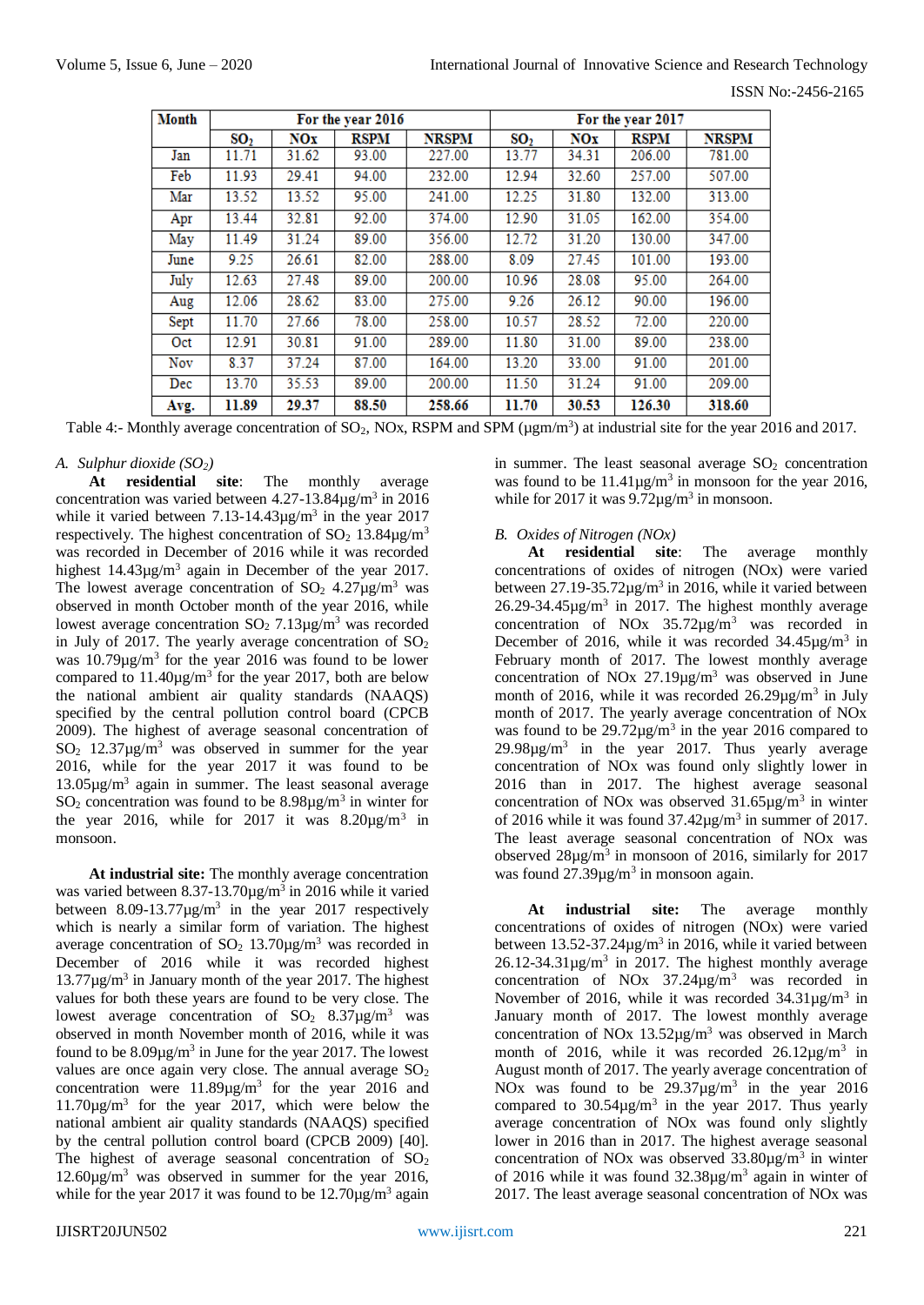| <b>Month</b> | For the year 2016 |            |             | For the year 2017 |                 |            |             |              |
|--------------|-------------------|------------|-------------|-------------------|-----------------|------------|-------------|--------------|
|              | SO <sub>2</sub>   | <b>NOx</b> | <b>RSPM</b> | <b>NRSPM</b>      | SO <sub>2</sub> | <b>NOx</b> | <b>RSPM</b> | <b>NRSPM</b> |
| Jan          | 11.71             | 31.62      | 93.00       | 227.00            | 13.77           | 34.31      | 206.00      | 781.00       |
| Feb          | 11.93             | 29.41      | 94.00       | 232.00            | 12.94           | 32.60      | 257.00      | 507.00       |
| Mar          | 13.52             | 13.52      | 95.00       | 241.00            | 12.25           | 31.80      | 132.00      | 313.00       |
| Apr          | 13.44             | 32.81      | 92.00       | 374.00            | 12.90           | 31.05      | 162.00      | 354.00       |
| May          | 11.49             | 31.24      | 89.00       | 356.00            | 12.72           | 31.20      | 130.00      | 347.00       |
| June         | 9.25              | 26.61      | 82.00       | 288.00            | 8.09            | 27.45      | 101.00      | 193.00       |
| July         | 12.63             | 27.48      | 89.00       | 200.00            | 10.96           | 28.08      | 95.00       | 264.00       |
| Aug          | 12.06             | 28.62      | 83.00       | 275.00            | 9.26            | 26.12      | 90.00       | 196.00       |
| Sept         | 11.70             | 27.66      | 78.00       | 258.00            | 10.57           | 28.52      | 72.00       | 220.00       |
| Oct          | 12.91             | 30.81      | 91.00       | 289.00            | 11.80           | 31.00      | 89.00       | 238.00       |
| Nov          | 8.37              | 37.24      | 87.00       | 164.00            | 13.20           | 33.00      | 91.00       | 201.00       |
| Dec          | 13.70             | 35.53      | 89.00       | 200.00            | 11.50           | 31.24      | 91.00       | 209.00       |
| Avg.         | 11.89             | 29.37      | 88.50       | 258.66            | 11.70           | 30.53      | 126.30      | 318.60       |

Table 4:- Monthly average concentration of SO<sub>2</sub>, NOx, RSPM and SPM ( $\mu$ gm/m<sup>3</sup>) at industrial site for the year 2016 and 2017.

# *A. Sulphur dioxide (SO2)*

**At residential site**: The monthly average concentration was varied between  $4.27 - 13.84 \mu g/m^3$  in 2016 while it varied between  $7.13 - 14.43 \mu g/m^3$  in the year 2017 respectively. The highest concentration of  $SO_2$  13.84 $\mu$ g/m<sup>3</sup> was recorded in December of 2016 while it was recorded highest  $14.43\mu g/m^3$  again in December of the year 2017. The lowest average concentration of  $SO_2$  4.27 $\mu$ g/m<sup>3</sup> was observed in month October month of the year 2016, while lowest average concentration  $SO_2$  7.13 $\mu$ g/m<sup>3</sup> was recorded in July of 2017. The yearly average concentration of  $SO<sub>2</sub>$ was  $10.79 \mu g/m^3$  for the year 2016 was found to be lower compared to  $11.40 \mu g/m^3$  for the year 2017, both are below the national ambient air quality standards (NAAQS) specified by the central pollution control board (CPCB 2009). The highest of average seasonal concentration of SO<sup>2</sup> 12.37µg/m<sup>3</sup> was observed in summer for the year 2016, while for the year 2017 it was found to be 13.05µg/m<sup>3</sup> again in summer. The least seasonal average  $SO_2$  concentration was found to be  $8.98\mu g/m^3$  in winter for the year 2016, while for 2017 it was  $8.20\mu\text{g/m}^3$  in monsoon.

**At industrial site:** The monthly average concentration was varied between  $8.37 - 13.70 \mu g/m^3$  in 2016 while it varied between  $8.09 - 13.77 \mu g/m^3$  in the year 2017 respectively which is nearly a similar form of variation. The highest average concentration of  $SO_2$  13.70 $\mu$ g/m<sup>3</sup> was recorded in December of 2016 while it was recorded highest  $13.77 \mu g/m<sup>3</sup>$  in January month of the year 2017. The highest values for both these years are found to be very close. The lowest average concentration of  $SO_2$  8.37 $\mu$ g/m<sup>3</sup> was observed in month November month of 2016, while it was found to be  $8.09\mu g/m^3$  in June for the year 2017. The lowest values are once again very close. The annual average  $SO_2$ concentration were  $11.89 \mu g/m^3$  for the year 2016 and  $11.70\mu g/m<sup>3</sup>$  for the year 2017, which were below the national ambient air quality standards (NAAQS) specified by the central pollution control board (CPCB 2009) [40]. The highest of average seasonal concentration of  $SO<sub>2</sub>$ 12.60µg/m<sup>3</sup> was observed in summer for the year 2016, while for the year 2017 it was found to be  $12.70 \mu g/m^3$  again in summer. The least seasonal average  $SO<sub>2</sub>$  concentration was found to be  $11.41 \mu g/m^3$  in monsoon for the year 2016, while for 2017 it was  $9.72 \mu g/m^3$  in monsoon.

# *B. Oxides of Nitrogen (NOx)*

**At residential site**: The average monthly concentrations of oxides of nitrogen (NOx) were varied between  $27.19 - 35.72 \mu g/m^3$  in 2016, while it varied between  $26.29 - 34.45 \mu g/m^3$  in 2017. The highest monthly average concentration of NOx 35.72µg/m<sup>3</sup> was recorded in December of 2016, while it was recorded  $34.45 \mu g/m^3$  in February month of 2017. The lowest monthly average concentration of NOx 27.19µg/m<sup>3</sup> was observed in June month of 2016, while it was recorded  $26.29 \mu g/m^3$  in July month of 2017. The yearly average concentration of NOx was found to be  $29.72 \mu g/m^3$  in the year 2016 compared to  $29.98\mu g/m^3$  in the year 2017. Thus yearly average concentration of NOx was found only slightly lower in 2016 than in 2017. The highest average seasonal concentration of NO<sub>x</sub> was observed  $31.65 \mu g/m^3$  in winter of 2016 while it was found  $37.42 \mu g/m^3$  in summer of 2017. The least average seasonal concentration of NOx was observed  $28\mu g/m^3$  in monsoon of 2016, similarly for 2017 was found  $27.39 \mu g/m^3$  in monsoon again.

**At industrial site:** The average monthly concentrations of oxides of nitrogen (NOx) were varied between  $13.52 - 37.24 \mu g/m^3$  in 2016, while it varied between  $26.12 - 34.31 \mu g/m^3$  in 2017. The highest monthly average concentration of NO<sub>x</sub>  $37.24\mu$ g/m<sup>3</sup> was recorded in November of 2016, while it was recorded  $34.31 \mu g/m^3$  in January month of 2017. The lowest monthly average concentration of NOx  $13.52\mu g/m^3$  was observed in March month of 2016, while it was recorded  $26.12 \mu g/m^3$  in August month of 2017. The yearly average concentration of NOx was found to be  $29.37 \mu g/m^3$  in the year 2016 compared to  $30.54\mu\text{g/m}^3$  in the year 2017. Thus yearly average concentration of NOx was found only slightly lower in 2016 than in 2017. The highest average seasonal concentration of NO<sub>x</sub> was observed  $33.80 \mu g/m^3$  in winter of 2016 while it was found  $32.38\mu g/m^3$  again in winter of 2017. The least average seasonal concentration of NOx was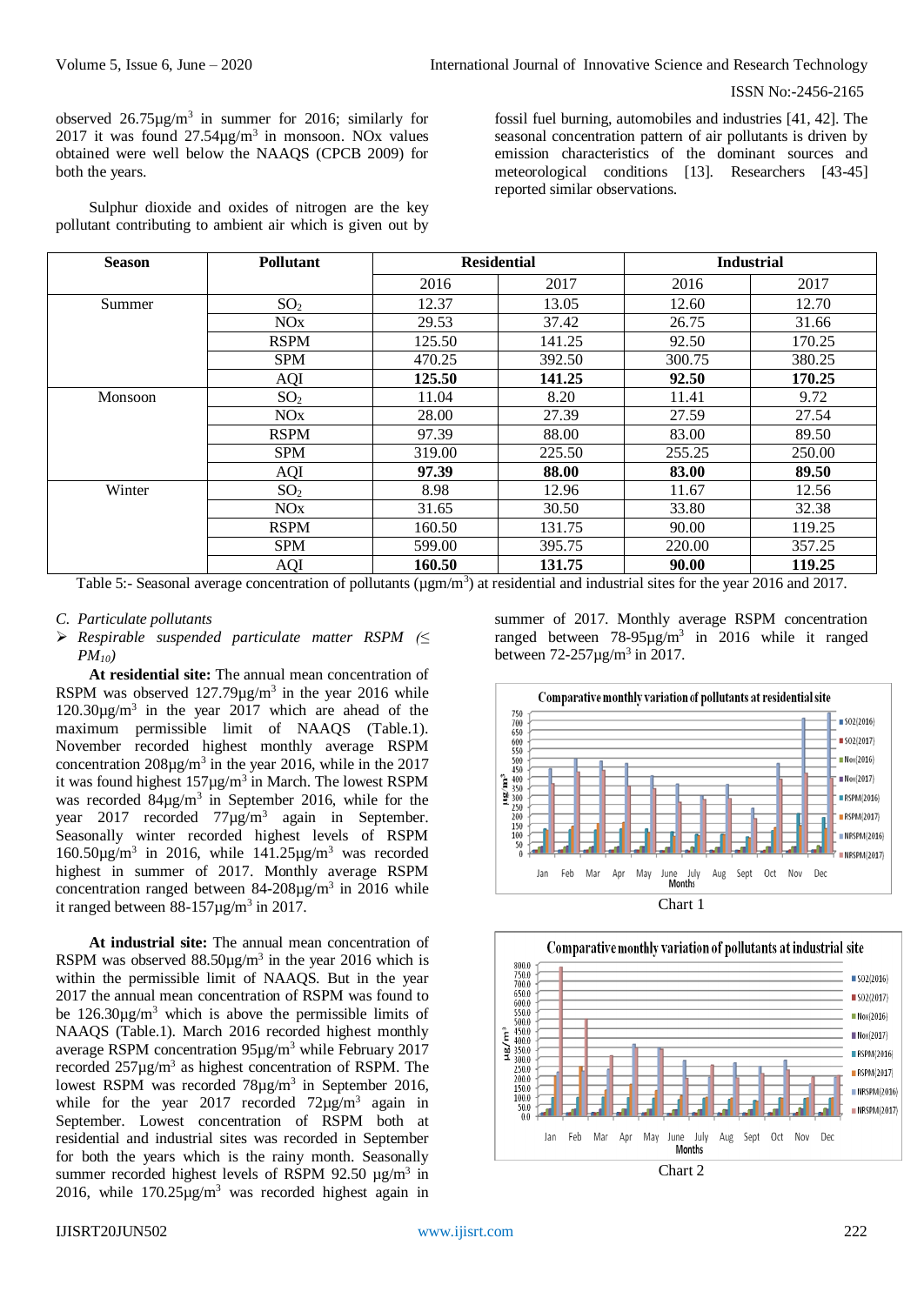observed  $26.75 \mu g/m^3$  in summer for 2016; similarly for 2017 it was found  $27.54\mu g/m^3$  in monsoon. NOx values obtained were well below the NAAQS (CPCB 2009) for both the years.

Sulphur dioxide and oxides of nitrogen are the key pollutant contributing to ambient air which is given out by

fossil fuel burning, automobiles and industries [41, 42]. The seasonal concentration pattern of air pollutants is driven by emission characteristics of the dominant sources and meteorological conditions [13]. Researchers [43-45] reported similar observations.

| <b>Season</b> | <b>Pollutant</b> | <b>Residential</b> |        | <b>Industrial</b> |        |  |
|---------------|------------------|--------------------|--------|-------------------|--------|--|
|               |                  | 2016               | 2017   | 2016              | 2017   |  |
| Summer        | SO <sub>2</sub>  | 12.37              | 13.05  | 12.60             | 12.70  |  |
|               | NOx              | 29.53              | 37.42  | 26.75             | 31.66  |  |
|               | <b>RSPM</b>      | 125.50             | 141.25 | 92.50             | 170.25 |  |
|               | <b>SPM</b>       | 470.25             | 392.50 | 300.75            | 380.25 |  |
|               | AQI              | 125.50             | 141.25 | 92.50             | 170.25 |  |
| Monsoon       | SO <sub>2</sub>  | 11.04              | 8.20   | 11.41             | 9.72   |  |
|               | NOx              | 28.00              | 27.39  | 27.59             | 27.54  |  |
|               | <b>RSPM</b>      | 97.39              | 88.00  | 83.00             | 89.50  |  |
|               | <b>SPM</b>       | 319.00             | 225.50 | 255.25            | 250.00 |  |
|               | AQI              | 97.39              | 88.00  | 83.00             | 89.50  |  |
| Winter        | SO <sub>2</sub>  | 8.98               | 12.96  | 11.67             | 12.56  |  |
|               | NOx              | 31.65              | 30.50  | 33.80             | 32.38  |  |
|               | <b>RSPM</b>      | 160.50             | 131.75 | 90.00             | 119.25 |  |
|               | <b>SPM</b>       | 599.00             | 395.75 | 220.00            | 357.25 |  |
|               | AQI              | 160.50             | 131.75 | 90.00             | 119.25 |  |

Table 5:- Seasonal average concentration of pollutants ( $\mu$ gm/m<sup>3</sup>) at residential and industrial sites for the year 2016 and 2017.

- *C. Particulate pollutants*
- *Respirable suspended particulate matter RSPM (≤ PM10)*

**At residential site:** The annual mean concentration of RSPM was observed  $127.79 \mu g/m^3$  in the year 2016 while 120.30µg/m<sup>3</sup> in the year 2017 which are ahead of the maximum permissible limit of NAAQS (Table.1). November recorded highest monthly average RSPM concentration  $208\mu g/m^3$  in the year 2016, while in the 2017 it was found highest  $157\mu g/m^3$  in March. The lowest RSPM was recorded  $84\mu g/m^3$  in September 2016, while for the year 2017 recorded  $77\mu g/m^3$  again in September. Seasonally winter recorded highest levels of RSPM 160.50 $\mu$ g/m<sup>3</sup> in 2016, while 141.25 $\mu$ g/m<sup>3</sup> was recorded highest in summer of 2017. Monthly average RSPM concentration ranged between  $84-208\mu g/m^3$  in 2016 while it ranged between  $88-157 \mu g/m^3$  in 2017.

**At industrial site:** The annual mean concentration of RSPM was observed  $88.50 \mu g/m^3$  in the year 2016 which is within the permissible limit of NAAQS. But in the year 2017 the annual mean concentration of RSPM was found to be  $126.30\mu g/m^3$  which is above the permissible limits of NAAQS (Table.1). March 2016 recorded highest monthly average RSPM concentration 95µg/m<sup>3</sup> while February 2017 recorded  $257\mu g/m^3$  as highest concentration of RSPM. The lowest RSPM was recorded  $78\mu g/m^3$  in September 2016, while for the year 2017 recorded  $72\mu g/m^3$  again in September. Lowest concentration of RSPM both at residential and industrial sites was recorded in September for both the years which is the rainy month. Seasonally summer recorded highest levels of RSPM 92.50  $\mu$ g/m<sup>3</sup> in 2016, while  $170.25\mu\text{g/m}^3$  was recorded highest again in

summer of 2017. Monthly average RSPM concentration ranged between  $78-95\mu g/m^3$  in 2016 while it ranged between  $72 - 257 \mu g/m^3$  in 2017.



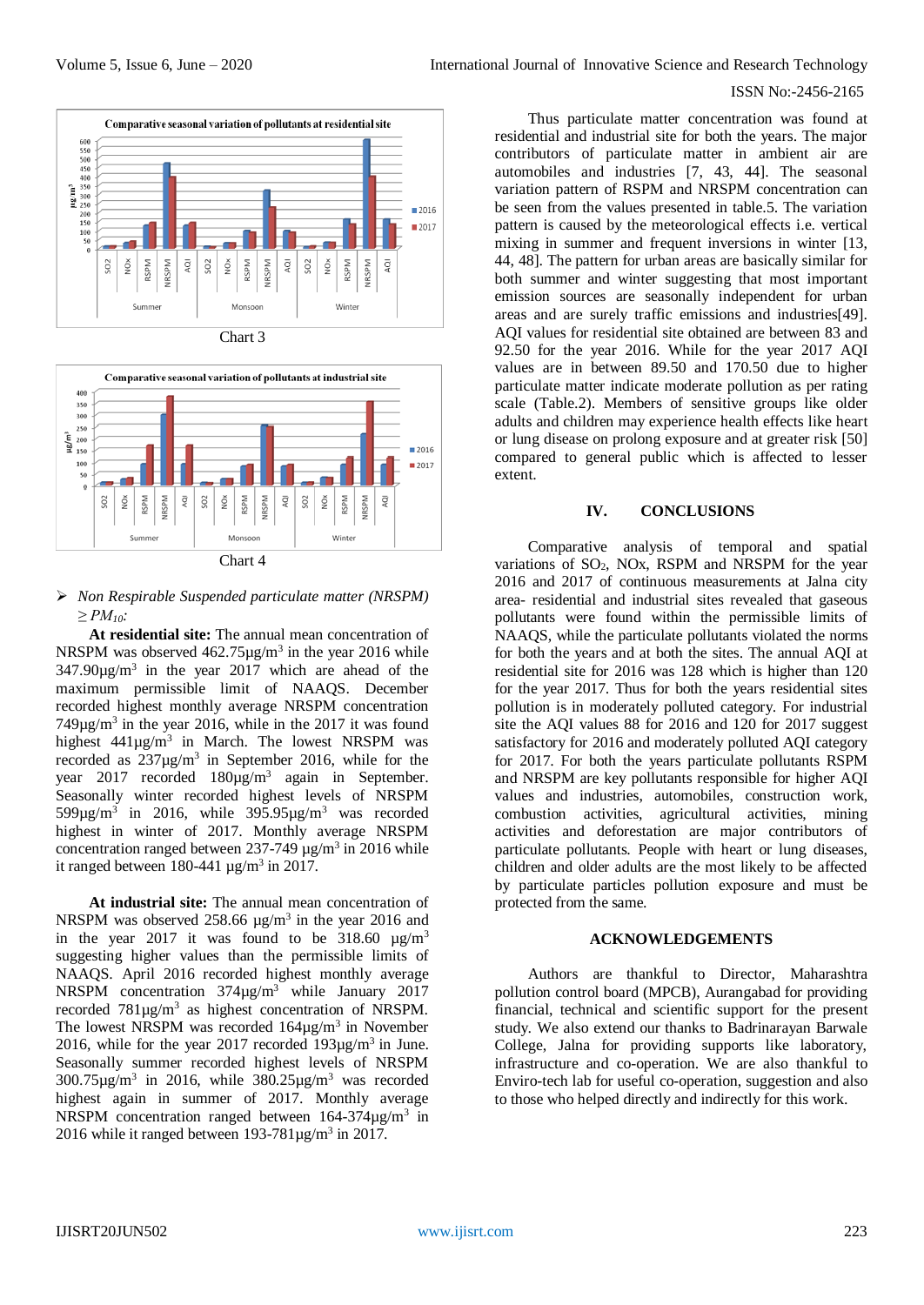



## *Non Respirable Suspended particulate matter (NRSPM) ≥ PM10:*

**At residential site:** The annual mean concentration of NRSPM was observed  $462.75 \mu g/m^3$  in the year 2016 while  $347.90\mu g/m^3$  in the year 2017 which are ahead of the maximum permissible limit of NAAQS. December recorded highest monthly average NRSPM concentration  $749\mu g/m<sup>3</sup>$  in the year 2016, while in the 2017 it was found highest  $441\mu g/m^3$  in March. The lowest NRSPM was recorded as  $237\mu g/m^3$  in September 2016, while for the year  $2017$  recorded  $180\mu g/m^3$  again in September. Seasonally winter recorded highest levels of NRSPM  $599\mu g/m^3$  in 2016, while  $395.95\mu g/m^3$  was recorded highest in winter of 2017. Monthly average NRSPM concentration ranged between  $237-749 \mu g/m^3$  in 2016 while it ranged between  $180-441 \text{ µg/m}^3$  in 2017.

**At industrial site:** The annual mean concentration of NRSPM was observed 258.66  $\mu$ g/m<sup>3</sup> in the year 2016 and in the year 2017 it was found to be  $318.60 \text{ }\mu\text{g/m}^3$ suggesting higher values than the permissible limits of NAAQS. April 2016 recorded highest monthly average NRSPM concentration 374µg/m<sup>3</sup> while January 2017 recorded  $781\mu g/m^3$  as highest concentration of NRSPM. The lowest NRSPM was recorded  $164\mu g/m^3$  in November 2016, while for the year 2017 recorded  $193\mu g/m^3$  in June. Seasonally summer recorded highest levels of NRSPM  $300.75 \mu g/m^3$  in 2016, while  $380.25 \mu g/m^3$  was recorded highest again in summer of 2017. Monthly average NRSPM concentration ranged between  $164-374 \mu g/m^3$  in 2016 while it ranged between  $193-781 \mu g/m^3$  in 2017.

Thus particulate matter concentration was found at residential and industrial site for both the years. The major contributors of particulate matter in ambient air are automobiles and industries [7, 43, 44]. The seasonal variation pattern of RSPM and NRSPM concentration can be seen from the values presented in table.5. The variation pattern is caused by the meteorological effects i.e. vertical mixing in summer and frequent inversions in winter [13, 44, 48]. The pattern for urban areas are basically similar for both summer and winter suggesting that most important emission sources are seasonally independent for urban areas and are surely traffic emissions and industries[49]. AQI values for residential site obtained are between 83 and 92.50 for the year 2016. While for the year 2017 AQI values are in between 89.50 and 170.50 due to higher particulate matter indicate moderate pollution as per rating scale (Table.2). Members of sensitive groups like older adults and children may experience health effects like heart or lung disease on prolong exposure and at greater risk [50] compared to general public which is affected to lesser extent.

# **IV. CONCLUSIONS**

Comparative analysis of temporal and spatial variations of  $SO_2$ , NOx, RSPM and NRSPM for the year 2016 and 2017 of continuous measurements at Jalna city area- residential and industrial sites revealed that gaseous pollutants were found within the permissible limits of NAAQS, while the particulate pollutants violated the norms for both the years and at both the sites. The annual AQI at residential site for 2016 was 128 which is higher than 120 for the year 2017. Thus for both the years residential sites pollution is in moderately polluted category. For industrial site the AQI values 88 for 2016 and 120 for 2017 suggest satisfactory for 2016 and moderately polluted AQI category for 2017. For both the years particulate pollutants RSPM and NRSPM are key pollutants responsible for higher AQI values and industries, automobiles, construction work, combustion activities, agricultural activities, mining activities and deforestation are major contributors of particulate pollutants. People with heart or lung diseases, children and older adults are the most likely to be affected by particulate particles pollution exposure and must be protected from the same.

#### **ACKNOWLEDGEMENTS**

Authors are thankful to Director, Maharashtra pollution control board (MPCB), Aurangabad for providing financial, technical and scientific support for the present study. We also extend our thanks to Badrinarayan Barwale College, Jalna for providing supports like laboratory, infrastructure and co-operation. We are also thankful to Enviro-tech lab for useful co-operation, suggestion and also to those who helped directly and indirectly for this work.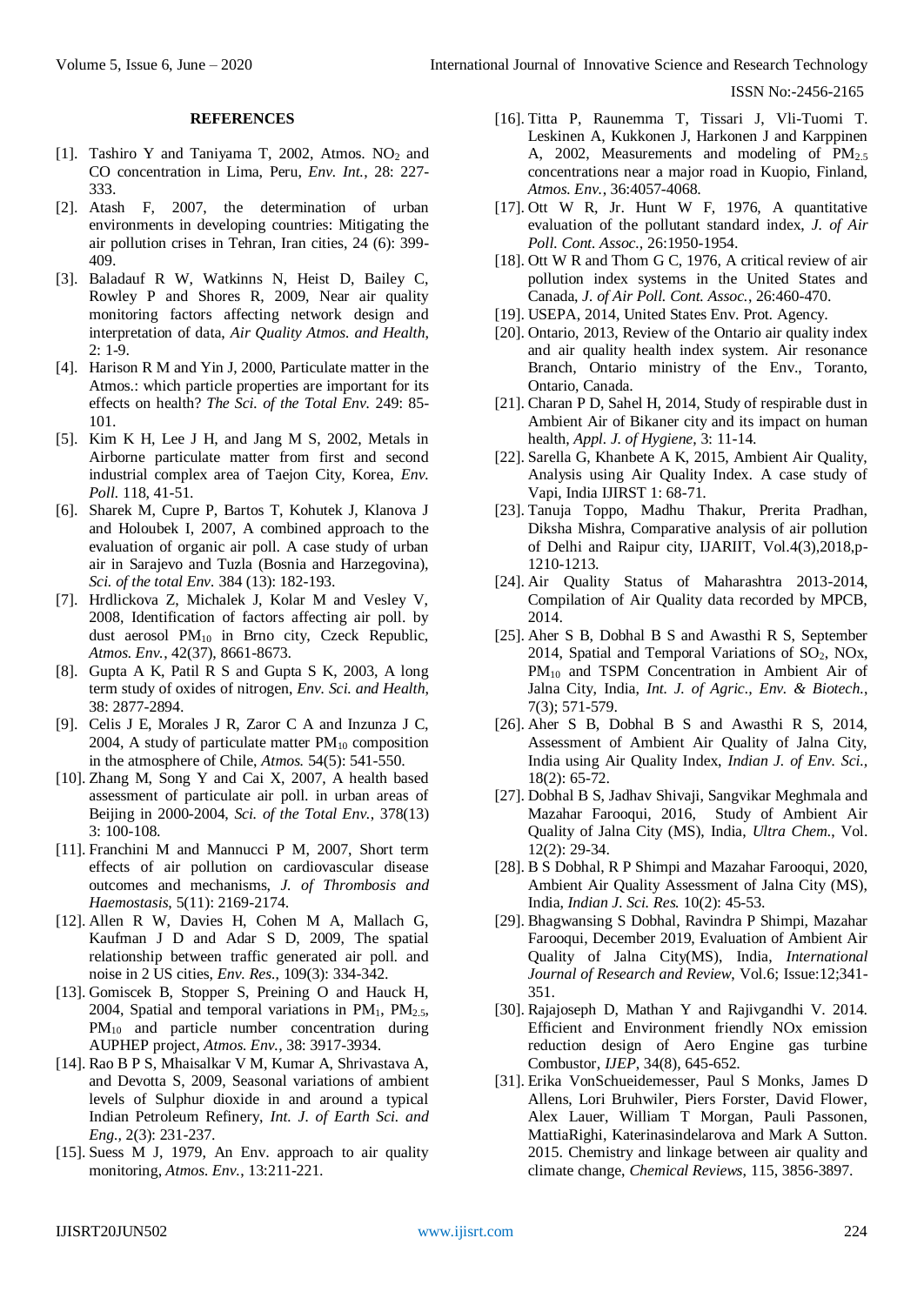## **REFERENCES**

- [1]. Tashiro Y and Taniyama T, 2002, Atmos.  $NO<sub>2</sub>$  and CO concentration in Lima, Peru, *Env. Int.*, 28: 227- 333.
- [2]. Atash F, 2007, the determination of urban environments in developing countries: Mitigating the air pollution crises in Tehran, Iran cities, 24 (6): 399- 409.
- [3]. Baladauf R W, Watkinns N, Heist D, Bailey C, Rowley P and Shores R, 2009, Near air quality monitoring factors affecting network design and interpretation of data, *Air Quality Atmos. and Health*, 2: 1-9.
- [4]. Harison R M and Yin J, 2000, Particulate matter in the Atmos.: which particle properties are important for its effects on health? *The Sci. of the Total Env.* 249: 85- 101.
- [5]. Kim K H, Lee J H, and Jang M S, 2002, Metals in Airborne particulate matter from first and second industrial complex area of Taejon City, Korea, *Env. Poll.* 118, 41-51.
- [6]. Sharek M, Cupre P, Bartos T, Kohutek J, Klanova J and Holoubek I, 2007, A combined approach to the evaluation of organic air poll. A case study of urban air in Sarajevo and Tuzla (Bosnia and Harzegovina), *Sci. of the total Env.* 384 (13): 182-193.
- [7]. Hrdlickova Z, Michalek J, Kolar M and Vesley V, 2008, Identification of factors affecting air poll. by dust aerosol  $PM_{10}$  in Brno city, Czeck Republic, *Atmos. Env.*, 42(37), 8661-8673.
- [8]. Gupta A K, Patil R S and Gupta S K, 2003, A long term study of oxides of nitrogen, *Env. Sci. and Health*, 38: 2877-2894.
- [9]. Celis J E, Morales J R, Zaror C A and Inzunza J C, 2004, A study of particulate matter  $PM_{10}$  composition in the atmosphere of Chile, *Atmos.* 54(5): 541-550.
- [10]. Zhang M, Song Y and Cai X, 2007, A health based assessment of particulate air poll. in urban areas of Beijing in 2000-2004, *Sci. of the Total Env.*, 378(13) 3: 100-108.
- [11]. Franchini M and Mannucci P M, 2007, Short term effects of air pollution on cardiovascular disease outcomes and mechanisms, *J. of Thrombosis and Haemostasis*, 5(11): 2169-2174.
- [12]. Allen R W, Davies H, Cohen M A, Mallach G, Kaufman J D and Adar S D, 2009, The spatial relationship between traffic generated air poll. and noise in 2 US cities, *Env. Res.*, 109(3): 334-342.
- [13]. Gomiscek B, Stopper S, Preining O and Hauck H, 2004, Spatial and temporal variations in  $PM<sub>1</sub>$ ,  $PM<sub>2.5</sub>$ , PM<sub>10</sub> and particle number concentration during AUPHEP project, *Atmos. Env.,* 38: 3917-3934.
- [14]. Rao B P S, Mhaisalkar V M, Kumar A, Shrivastava A, and Devotta S, 2009, Seasonal variations of ambient levels of Sulphur dioxide in and around a typical Indian Petroleum Refinery, *Int. J. of Earth Sci. and Eng.,* 2(3): 231-237.
- [15]. Suess M J, 1979, An Env. approach to air quality monitoring, *Atmos. Env.*, 13:211-221.
- [16]. Titta P, Raunemma T, Tissari J, Vli-Tuomi T. Leskinen A, Kukkonen J, Harkonen J and Karppinen A, 2002, Measurements and modeling of PM<sub>2.5</sub> concentrations near a major road in Kuopio, Finland, *Atmos. Env.*, 36:4057-4068.
- [17]. Ott W R, Jr. Hunt W F, 1976, A quantitative evaluation of the pollutant standard index, *J. of Air Poll. Cont. Assoc.,* 26:1950-1954.
- [18]. Ott W R and Thom G C, 1976, A critical review of air pollution index systems in the United States and Canada, *J. of Air Poll. Cont. Assoc.*, 26:460-470.
- [19]. USEPA, 2014, United States Env. Prot. Agency.
- [20]. Ontario, 2013, Review of the Ontario air quality index and air quality health index system. Air resonance Branch, Ontario ministry of the Env., Toranto, Ontario, Canada.
- [21]. Charan P D, Sahel H, 2014, Study of respirable dust in Ambient Air of Bikaner city and its impact on human health, *Appl. J. of Hygiene*, 3: 11-14.
- [22]. Sarella G, Khanbete A K, 2015, Ambient Air Quality, Analysis using Air Quality Index. A case study of Vapi, India IJIRST 1: 68-71.
- [23]. Tanuja Toppo, Madhu Thakur, Prerita Pradhan, Diksha Mishra, Comparative analysis of air pollution of Delhi and Raipur city, IJARIIT, Vol.4(3),2018,p-1210-1213.
- [24]. Air Quality Status of Maharashtra 2013-2014, Compilation of Air Quality data recorded by MPCB, 2014.
- [25]. Aher S B, Dobhal B S and Awasthi R S, September 2014, Spatial and Temporal Variations of  $SO<sub>2</sub>$ , NOx, PM<sub>10</sub> and TSPM Concentration in Ambient Air of Jalna City, India, *Int. J. of Agric., Env. & Biotech.*, 7(3); 571-579.
- [26]. Aher S B, Dobhal B S and Awasthi R S, 2014, Assessment of Ambient Air Quality of Jalna City, India using Air Quality Index, *Indian J. of Env. Sci.,* 18(2): 65-72.
- [27]. Dobhal B S, Jadhav Shivaji, Sangvikar Meghmala and Mazahar Farooqui, 2016, Study of Ambient Air Quality of Jalna City (MS), India, *Ultra Chem.*, Vol. 12(2): 29-34.
- [28]. B S Dobhal, R P Shimpi and Mazahar Farooqui, 2020, Ambient Air Quality Assessment of Jalna City (MS), India, *Indian J. Sci. Res.* 10(2): 45-53.
- [29]. Bhagwansing S Dobhal, Ravindra P Shimpi, Mazahar Farooqui, December 2019, Evaluation of Ambient Air Quality of Jalna City(MS), India, *International Journal of Research and Review*, Vol.6; Issue:12;341- 351.
- [30]. Rajajoseph D, Mathan Y and Rajivgandhi V. 2014. Efficient and Environment friendly NOx emission reduction design of Aero Engine gas turbine Combustor, *IJEP*, 34(8), 645-652.
- [31]. Erika VonSchueidemesser, Paul S Monks, James D Allens, Lori Bruhwiler, Piers Forster, David Flower, Alex Lauer, William T Morgan, Pauli Passonen, MattiaRighi, Katerinasindelarova and Mark A Sutton. 2015. Chemistry and linkage between air quality and climate change, *Chemical Reviews*, 115, 3856-3897.